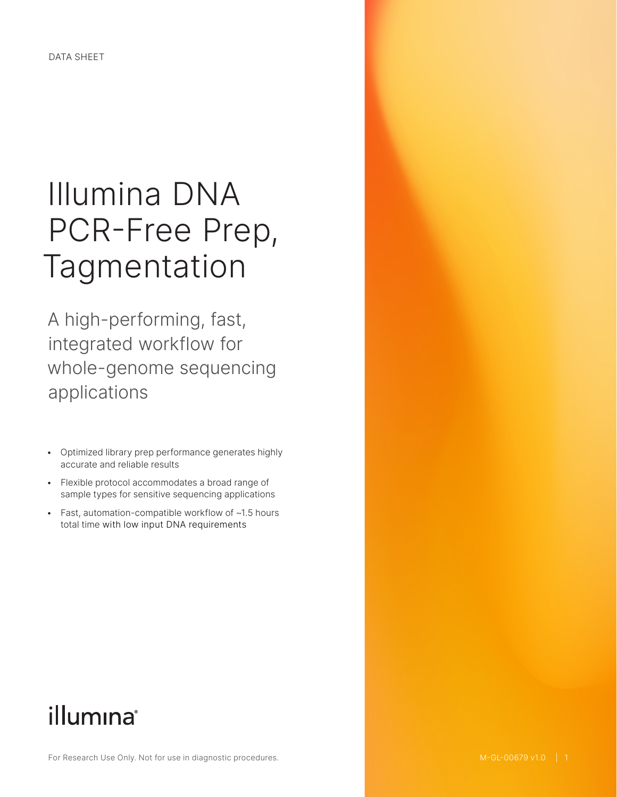# Illumina DNA PCR-Free Prep, Tagmentation

A high-performing, fast, integrated workflow for whole-genome sequencing applications

- Optimized library prep performance generates highly accurate and reliable results
- Flexible protocol accommodates a broad range of sample types for sensitive sequencing applications
- Fast, automation-compatible workflow of ~1.5 hours total time with low input DNA requirements

# illumina®

For Research Use Only. Not for use in diagnostic procedures.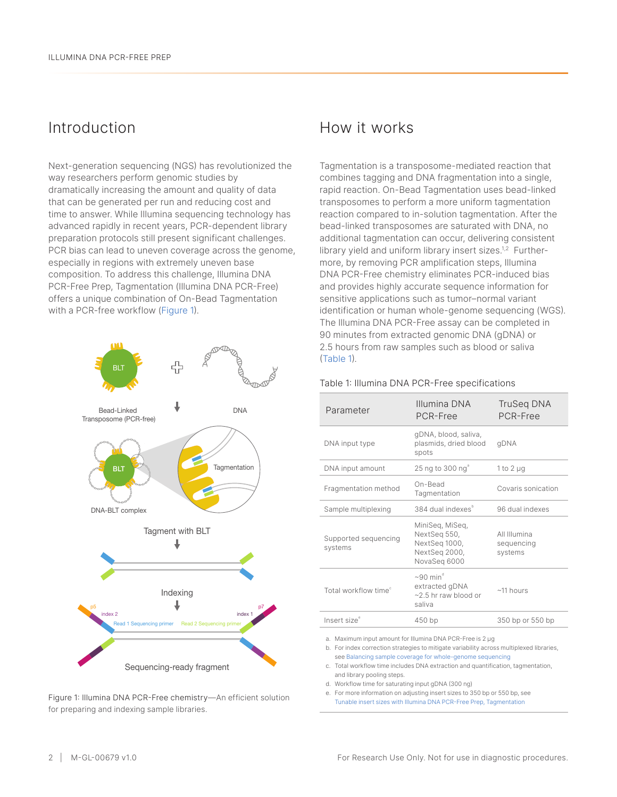### Introduction

Next-generation sequencing (NGS) has revolutionized the way researchers perform genomic studies by dramatically increasing the amount and quality of data that can be generated per run and reducing cost and time to answer. While Illumina sequencing technology has advanced rapidly in recent years, PCR-dependent library preparation protocols still present significant challenges. PCR bias can lead to uneven coverage across the genome, especially in regions with extremely uneven base composition. To address this challenge, Illumina DNA PCR-Free Prep, Tagmentation (Illumina DNA PCR-Free) offers a unique combination of On-Bead Tagmentation with a PCR-free workflow [\(Figure](#page-1-0) 1).



<span id="page-1-0"></span>Figure 1: Illumina DNA PCR-Free chemistry—An efficient solution for preparing and indexing sample libraries.

### How it works

Tagmentation is a transposome-mediated reaction that combines tagging and DNA fragmentation into a single, rapid reaction. On-Bead Tagmentation uses bead-linked transposomes to perform a more uniform tagmentation reaction compared to in-solution tagmentation. After the bead-linked transposomes are saturated with DNA, no additional tagmentation can occur, delivering consistent library yield and uniform library insert sizes.<sup>[1](#page-6-0),[2](#page-6-1)</sup> Furthermore, by removing PCR amplification steps, Illumina DNA PCR-Free chemistry eliminates PCR-induced bias and provides highly accurate sequence information for sensitive applications such as tumor–normal variant identification or human whole-genome sequencing (WGS). The Illumina DNA PCR-Free assay can be completed in 90 minutes from extracted genomic DNA (gDNA) or 2.5 hours from raw samples such as blood or saliva [\(Table](#page-1-1) 1).

| Parameter                        | Illumina DNA<br>PCR-Free                                                          | TruSeg DNA<br>PCR-Free                |
|----------------------------------|-----------------------------------------------------------------------------------|---------------------------------------|
| DNA input type                   | gDNA, blood, saliva,<br>plasmids, dried blood<br>spots                            | qDNA                                  |
| DNA input amount                 | 25 ng to 300 ng <sup>a</sup>                                                      | 1 to 2 $\mu$ g                        |
| Fragmentation method             | On-Bead<br>Tagmentation                                                           | Covaris sonication                    |
| Sample multiplexing              | 384 dual indexes <sup>b</sup>                                                     | 96 dual indexes                       |
| Supported sequencing<br>systems  | MiniSeq, MiSeq,<br>NextSeq 550,<br>NextSeq 1000,<br>NextSeg 2000,<br>NovaSeq 6000 | All Illumina<br>sequencing<br>systems |
| Total workflow time <sup>c</sup> | $\sim$ 90 min <sup>d</sup><br>extracted gDNA<br>~2.5 hr raw blood or<br>saliva    | $~11$ hours                           |
| Insert size <sup>e</sup>         | 450 bp                                                                            | 350 bp or 550 bp                      |

#### <span id="page-1-1"></span>Table 1: Illumina DNA PCR-Free specifications

a. Maximum input amount for Illumina DNA PCR-Free is 2 μg

b. For index correction strategies to mitigate variability across multiplexed libraries, see [Balancing sample coverage for whole-genome sequencing](https://www.illumina.com/content/dam/illumina/gcs/assembled-assets/marketing-literature/illumina-dna-prep-pcr-free-index-correction-tech-note-m-gl-00005/illumina-dna-pcr-free-index-correction-tech-note-m-gl-00005.pdf)

c. Total workflow time includes DNA extraction and quantification, tagmentation, and library pooling steps.

d. Workflow time for saturating input gDNA (300 ng)

e. For more information on adjusting insert sizes to 350 bp or 550 bp, see [Tunable insert sizes with Illumina DNA PCR-Free Prep, Tagmentation](https://www.illumina.com/content/dam/illumina-marketing/documents/products/appnotes/illumina-dna-pcr-free-insert-size-app-note-770-2020-004.pdf)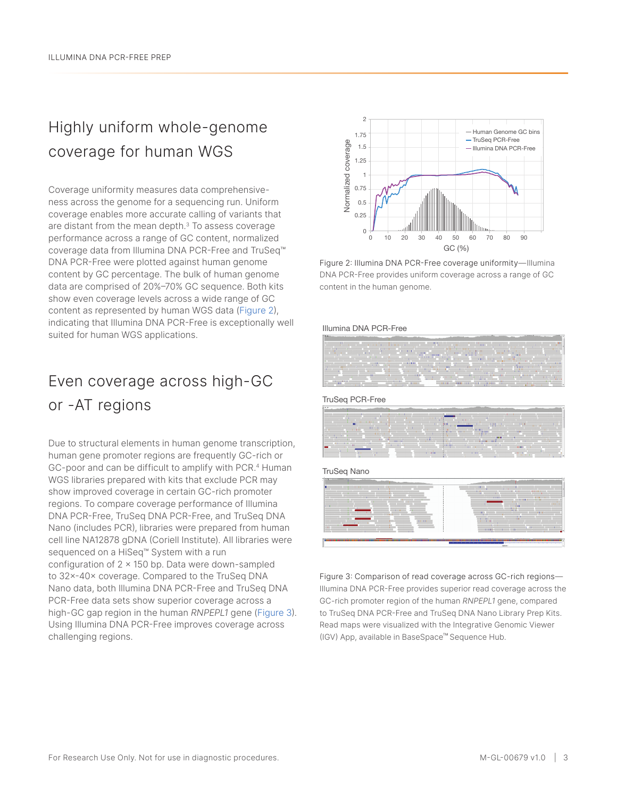# Highly uniform whole-genome coverage for human WGS

Coverage uniformity measures data comprehensiveness across the genome for a sequencing run. Uniform coverage enables more accurate calling of variants that are distant from the mean depth.[3](#page-6-2) To assess coverage performance across a range of GC content, normalized coverage data from Illumina DNA PCR-Free and TruSeq™ DNA PCR-Free were plotted against human genome content by GC percentage. The bulk of human genome data are comprised of 20%–70% GC sequence. Both kits show even coverage levels across a wide range of GC content as represented by human WGS data ([Figure 2\)](#page-2-0), indicating that Illumina DNA PCR-Free is exceptionally well suited for human WGS applications.

# Even coverage across high-GC or -AT regions

Due to structural elements in human genome transcription, human gene promoter regions are frequently GC-rich or GC-poor and can be difficult to amplify with PCR.<sup>4</sup> Human WGS libraries prepared with kits that exclude PCR may show improved coverage in certain GC-rich promoter regions. To compare coverage performance of Illumina DNA PCR-Free, TruSeq DNA PCR-Free, and TruSeq DNA Nano (includes PCR), libraries were prepared from human cell line NA12878 gDNA (Coriell Institute). All libraries were sequenced on a HiSeq™ System with a run configuration of  $2 \times 150$  bp. Data were down-sampled to 32×-40× coverage. Compared to the TruSeq DNA Nano data, both Illumina DNA PCR-Free and TruSeq DNA PCR-Free data sets show superior coverage across a high-GC gap region in the human *RNPEPL1* gene [\(Figure 3\)](#page-2-1). Using Illumina DNA PCR-Free improves coverage across challenging regions.



<span id="page-2-0"></span>Figure 2: Illumina DNA PCR-Free coverage uniformity—Illumina DNA PCR-Free provides uniform coverage across a range of GC content in the human genome.

#### Illumina DNA PCR-Free



TruSeq PCR-Free

|                          |  |                   | $\sim$<br><b>CONTRACTOR</b> |                                                                                                                       |                                                                                                                                                                                                                                                                              |          |  |  |
|--------------------------|--|-------------------|-----------------------------|-----------------------------------------------------------------------------------------------------------------------|------------------------------------------------------------------------------------------------------------------------------------------------------------------------------------------------------------------------------------------------------------------------------|----------|--|--|
|                          |  |                   | ____                        | <b>SUB-Service Contract Contract Contract Contract Contract Contract Contract Contract Contract Contract Contract</b> |                                                                                                                                                                                                                                                                              |          |  |  |
|                          |  |                   |                             |                                                                                                                       | <b>BUILDING</b>                                                                                                                                                                                                                                                              |          |  |  |
|                          |  |                   |                             |                                                                                                                       | <b>BUILD</b>                                                                                                                                                                                                                                                                 |          |  |  |
|                          |  |                   |                             |                                                                                                                       | <b><i><u>Property Contract Contract Contract Contract Contract Contract Contract Contract Contract Contract Contract Contract Contract Contract Contract Contract Contract Contract Contract Contract Contract Contract Contract Con</u></i></b><br>the property of the con- | 10100    |  |  |
|                          |  | <b>CONTRACTOR</b> |                             |                                                                                                                       | _____                                                                                                                                                                                                                                                                        | $-111.0$ |  |  |
| <b>STATE OF BUILDING</b> |  |                   |                             |                                                                                                                       |                                                                                                                                                                                                                                                                              |          |  |  |
|                          |  |                   |                             |                                                                                                                       |                                                                                                                                                                                                                                                                              |          |  |  |
|                          |  |                   | <b>TELEVISION</b>           |                                                                                                                       | <b>Little</b>                                                                                                                                                                                                                                                                |          |  |  |

TruSeq Nano



<span id="page-2-1"></span>Figure 3: Comparison of read coverage across GC-rich regions— Illumina DNA PCR-Free provides superior read coverage across the GC-rich promoter region of the human *RNPEPL1* gene, compared to TruSeq DNA PCR-Free and TruSeq DNA Nano Library Prep Kits. Read maps were visualized with the Integrative Genomic Viewer (IGV) App, available in BaseSpace™ Sequence Hub.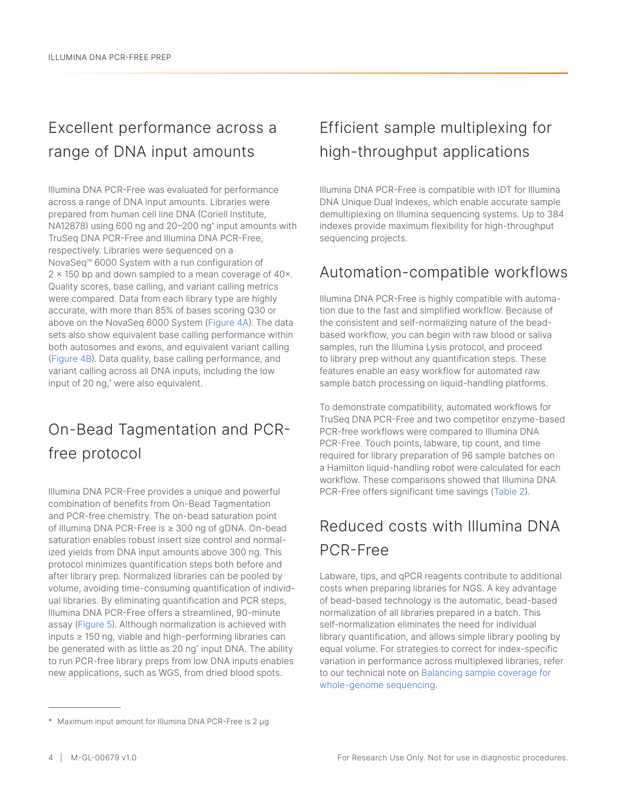# Excellent performance across a range of DNA input amounts

Illumina DNA PCR-Free was evaluated for performance across a range of DNA input amounts. Libraries were prepared from human cell line DNA (Coriell Institute, NA12878) using 600 ng and 20–200 ng\* input amounts with TruSeq DNA PCR-Free and Illumina DNA PCR-Free, respectively. Libraries were sequenced on a NovaSeq™ 6000 System with a run configuration of 2 × 150 bp and down sampled to a mean coverage of 40×. Quality scores, base calling, and variant calling metrics were compared. Data from each library type are highly accurate, with more than 85% of bases scoring Q30 or above on the NovaSeq 6000 System ([Figure 4A\)](#page-4-0). The data sets also show equivalent base calling performance within both autosomes and exons, and equivalent variant calling [\(Figure 4B\)](#page-4-0). Data quality, base calling performance, and variant calling across all DNA inputs, including the low input of 20 ng,\* were also equivalent.

# On-Bead Tagmentation and PCRfree protocol

Illumina DNA PCR-Free provides a unique and powerful combination of benefits from On-Bead Tagmentation and PCR-free chemistry. The on-bead saturation point of Illumina DNA PCR-Free is ≥ 300 ng of gDNA. On-bead saturation enables robust insert size control and normalized yields from DNA input amounts above 300 ng. This protocol minimizes quantification steps both before and after library prep. Normalized libraries can be pooled by volume, avoiding time-consuming quantification of individual libraries. By eliminating quantification and PCR steps, Illumina DNA PCR-Free offers a streamlined, 90-minute assay [\(Figure 5](#page-4-1)). Although normalization is achieved with inputs ≥ 150 ng, viable and high-performing libraries can be generated with as little as 20 ng\* input DNA. The ability to run PCR-free library preps from low DNA inputs enables new applications, such as WGS, from dried blood spots.

## Efficient sample multiplexing for high-throughput applications

Illumina DNA PCR-Free is compatible with IDT for Illumina DNA Unique Dual Indexes, which enable accurate sample demultiplexing on Illumina sequencing systems. Up to 384 indexes provide maximum flexibility for high-throughput sequencing projects.

### Automation-compatible workflows

Illumina DNA PCR-Free is highly compatible with automation due to the fast and simplified workflow. Because of the consistent and self-normalizing nature of the beadbased workflow, you can begin with raw blood or saliva samples, run the Illumina Lysis protocol, and proceed to library prep without any quantification steps. These features enable an easy workflow for automated raw sample batch processing on liquid-handling platforms.

To demonstrate compatibility, automated workflows for TruSeq DNA PCR-Free and two competitor enzyme-based PCR-free workflows were compared to Illumina DNA PCR-Free. Touch points, labware, tip count, and time required for library preparation of 96 sample batches on a Hamilton liquid-handling robot were calculated for each workflow. These comparisons showed that Illumina DNA PCR-Free offers significant time savings [\(Table](#page-5-0) 2).

# Reduced costs with Illumina DNA PCR-Free

Labware, tips, and qPCR reagents contribute to additional costs when preparing libraries for NGS. A key advantage of bead-based technology is the automatic, bead-based normalization of all libraries prepared in a batch. This self-normalization eliminates the need for individual library quantification, and allows simple library pooling by equal volume. For strategies to correct for index-specific variation in performance across multiplexed libraries, refer to our technical note on [Balancing sample coverage for](https://www.illumina.com/content/dam/illumina/gcs/assembled-assets/marketing-literature/illumina-dna-prep-pcr-free-index-correction-tech-note-m-gl-00005/illumina-dna-pcr-free-index-correction-tech-note-m-gl-00005.pdf)  [whole-genome](https://www.illumina.com/content/dam/illumina/gcs/assembled-assets/marketing-literature/illumina-dna-prep-pcr-free-index-correction-tech-note-m-gl-00005/illumina-dna-pcr-free-index-correction-tech-note-m-gl-00005.pdf) sequencing.

<sup>\*</sup> Maximum input amount for Illumina DNA PCR-Free is 2 μg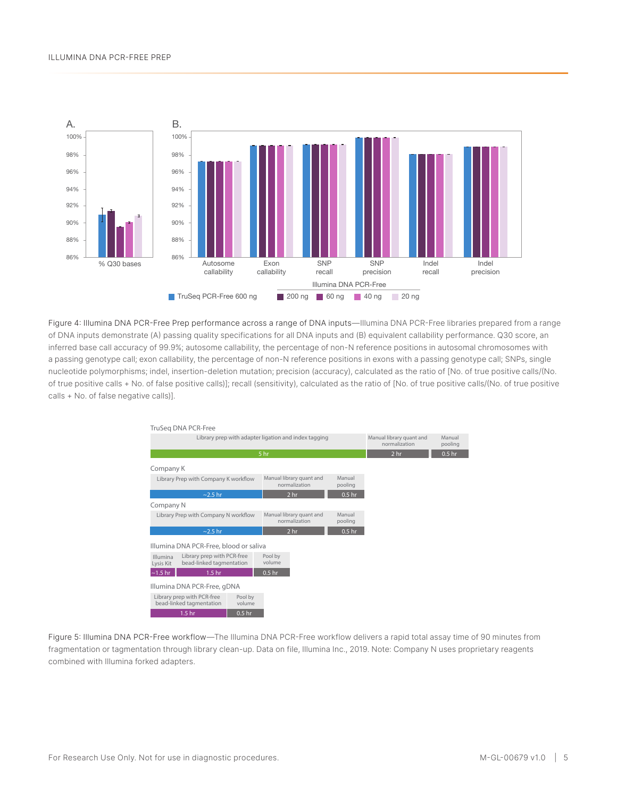

<span id="page-4-0"></span>Figure 4: Illumina DNA PCR-Free Prep performance across a range of DNA inputs—Illumina DNA PCR-Free libraries prepared from a range of DNA inputs demonstrate (A) passing quality specifications for all DNA inputs and (B) equivalent callability performance. Q30 score, an inferred base call accuracy of 99.9%; autosome callability, the percentage of non-N reference positions in autosomal chromosomes with a passing genotype call; exon callability, the percentage of non-N reference positions in exons with a passing genotype call; SNPs, single nucleotide polymorphisms; indel, insertion-deletion mutation; precision (accuracy), calculated as the ratio of [No. of true positive calls/(No. of true positive calls + No. of false positive calls)]; recall (sensitivity), calculated as the ratio of [No. of true positive calls/(No. of true positive calls + No. of false negative calls)].



<span id="page-4-1"></span>Figure 5: Illumina DNA PCR-Free workflow—The Illumina DNA PCR-Free workflow delivers a rapid total assay time of 90 minutes from fragmentation or tagmentation through library clean-up. Data on file, Illumina Inc., 2019. Note: Company N uses proprietary reagents combined with Illumina forked adapters.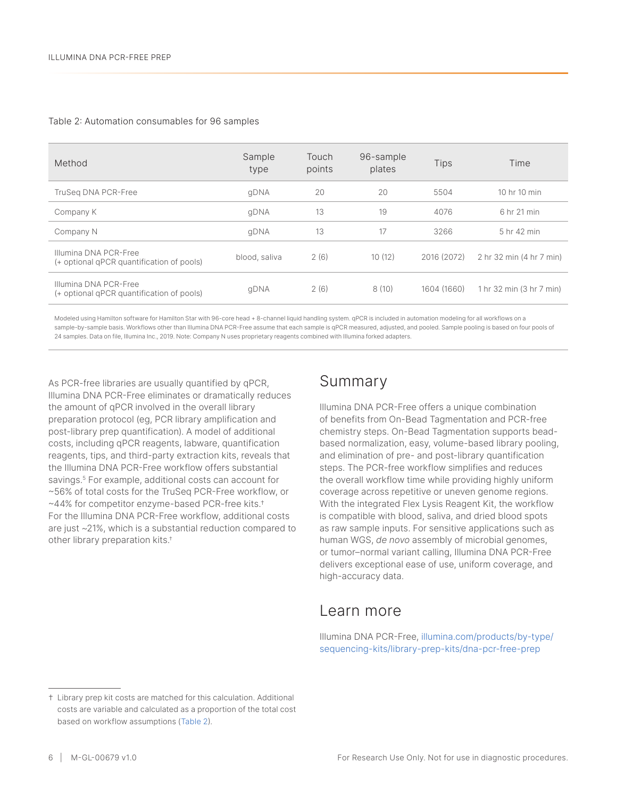#### <span id="page-5-0"></span>Table 2: Automation consumables for 96 samples

| Method                                                             | Sample<br>type | Touch<br>points | 96-sample<br>plates | <b>Tips</b> | Time                     |
|--------------------------------------------------------------------|----------------|-----------------|---------------------|-------------|--------------------------|
| TruSeg DNA PCR-Free                                                | qDNA           | 20              | 20                  | 5504        | 10 hr 10 min             |
| Company K                                                          | qDNA           | 13              | 19                  | 4076        | 6 hr 21 min              |
| Company N                                                          | qDNA           | 13              | 17                  | 3266        | 5 hr 42 min              |
| Illumina DNA PCR-Free<br>(+ optional qPCR quantification of pools) | blood, saliva  | 2(6)            | 10(12)              | 2016 (2072) | 2 hr 32 min (4 hr 7 min) |
| Illumina DNA PCR-Free<br>(+ optional qPCR quantification of pools) | qDNA           | 2(6)            | 8(10)               | 1604 (1660) | 1 hr 32 min (3 hr 7 min) |

Modeled using Hamilton software for Hamilton Star with 96-core head + 8-channel liquid handling system. qPCR is included in automation modeling for all workflows on a sample-by-sample basis. Workflows other than Illumina DNA PCR-Free assume that each sample is qPCR measured, adjusted, and pooled. Sample pooling is based on four pools of 24 samples. Data on file, Illumina Inc., 2019. Note: Company N uses proprietary reagents combined with Illumina forked adapters.

As PCR-free libraries are usually quantified by qPCR, Illumina DNA PCR-Free eliminates or dramatically reduces the amount of qPCR involved in the overall library preparation protocol (eg, PCR library amplification and post-library prep quantification). A model of additional costs, including qPCR reagents, labware, quantification reagents, tips, and third-party extraction kits, reveals that the Illumina DNA PCR-Free workflow offers substantial savings.<sup>5</sup> For example, additional costs can account for ~56% of total costs for the TruSeq PCR-Free workflow, or ~44% for competitor enzyme-based PCR-free kits.† For the Illumina DNA PCR-Free workflow, additional costs are just ~21%, which is a substantial reduction compared to other library preparation kits.†

#### Summary

Illumina DNA PCR-Free offers a unique combination of benefits from On-Bead Tagmentation and PCR-free chemistry steps. On-Bead Tagmentation supports beadbased normalization, easy, volume-based library pooling, and elimination of pre- and post-library quantification steps. The PCR-free workflow simplifies and reduces the overall workflow time while providing highly uniform coverage across repetitive or uneven genome regions. With the integrated Flex Lysis Reagent Kit, the workflow is compatible with blood, saliva, and dried blood spots as raw sample inputs. For sensitive applications such as human WGS, *de novo* assembly of microbial genomes, or tumor–normal variant calling, Illumina DNA PCR-Free delivers exceptional ease of use, uniform coverage, and high-accuracy data.

#### Learn more

Illumina DNA PCR-Free, [illumina.com/products/by-type/](http://illumina.com/products/by-type/sequencing-kits/library-prep-kits/dna-pcr-free-prep.html) [sequencing-kits/library-prep-kits/dna-pcr-free-prep](http://illumina.com/products/by-type/sequencing-kits/library-prep-kits/dna-pcr-free-prep.html)

<sup>†</sup> Library prep kit costs are matched for this calculation. Additional costs are variable and calculated as a proportion of the total cost based on workflow assumptions ([Table](#page-5-0) 2).